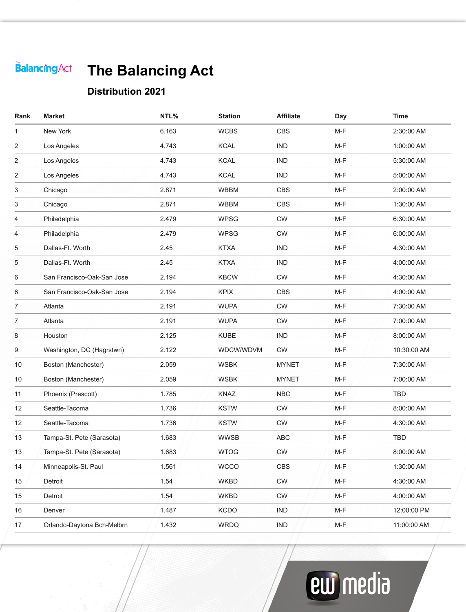# **The Balancing Act**

#### **Distribution 2021**

| Rank           | Market                     | NTL%  | <b>Station</b> | <b>Affiliate</b> | Day   | <b>Time</b> |
|----------------|----------------------------|-------|----------------|------------------|-------|-------------|
| 1              | New York                   | 6.163 | <b>WCBS</b>    | <b>CBS</b>       | $M-F$ | 2:30:00 AM  |
| 2              | Los Angeles                | 4.743 | <b>KCAL</b>    | <b>IND</b>       | M-F   | 1:00:00 AM  |
| 2              | Los Angeles                | 4.743 | <b>KCAL</b>    | <b>IND</b>       | $M-F$ | 5:30:00 AM  |
| 2              | Los Angeles                | 4.743 | <b>KCAL</b>    | <b>IND</b>       | M-F   | 5:00:00 AM  |
| 3              | Chicago                    | 2.871 | <b>WBBM</b>    | <b>CBS</b>       | $M-F$ | 2:00:00 AM  |
| 3              | Chicago                    | 2.871 | <b>WBBM</b>    | <b>CBS</b>       | $M-F$ | 1:30:00 AM  |
| 4              | Philadelphia               | 2.479 | <b>WPSG</b>    | <b>CW</b>        | $M-F$ | 6:30:00 AM  |
| 4              | Philadelphia               | 2.479 | <b>WPSG</b>    | <b>CW</b>        | $M-F$ | 6:00:00 AM  |
| 5              | Dallas-Ft. Worth           | 2.45  | <b>KTXA</b>    | <b>IND</b>       | $M-F$ | 4:30:00 AM  |
| 5              | Dallas-Ft. Worth           | 2.45  | <b>KTXA</b>    | <b>IND</b>       | M-F   | 4:00:00 AM  |
| 6              | San Francisco-Oak-San Jose | 2.194 | <b>KBCW</b>    | <b>CW</b>        | $M-F$ | 4:30:00 AM  |
| 6              | San Francisco-Oak-San Jose | 2.194 | <b>KPIX</b>    | <b>CBS</b>       | M-F   | 4:00:00 AM  |
| $\overline{7}$ | Atlanta                    | 2.191 | <b>WUPA</b>    | <b>CW</b>        | $M-F$ | 7:30:00 AM  |
| 7              | Atlanta                    | 2.191 | <b>WUPA</b>    | <b>CW</b>        | $M-F$ | 7:00:00 AM  |
| 8              | Houston                    | 2.125 | <b>KUBE</b>    | <b>IND</b>       | M-F   | 8:00:00 AM  |
| 9              | Washington, DC (Hagrstwn)  | 2.122 | WDCW/WDVM      | <b>CW</b>        | $M-F$ | 10:30:00 AM |
| 10             | Boston (Manchester)        | 2.059 | <b>WSBK</b>    | <b>MYNET</b>     | $M-F$ | 7:30:00 AM  |
| 10             | Boston (Manchester)        | 2.059 | <b>WSBK</b>    | <b>MYNET</b>     | M-F   | 7:00:00 AM  |
| 11             | Phoenix (Prescott)         | 1.785 | <b>KNAZ</b>    | <b>NBC</b>       | $M-F$ | <b>TBD</b>  |
| 12             | Seattle-Tacoma             | 1.736 | <b>KSTW</b>    | <b>CW</b>        | M-F   | 8:00:00 AM  |
| 12             | Seattle-Tacoma             | 1.736 | <b>KSTW</b>    | <b>CW</b>        | $M-F$ | 4:30:00 AM  |
| 13             | Tampa-St. Pete (Sarasota)  | 1.683 | <b>WWSB</b>    | <b>ABC</b>       | $M-F$ | <b>TBD</b>  |
| 13             | Tampa-St. Pete (Sarasota)  | 1.683 | <b>WTOG</b>    | <b>CW</b>        | M-F   | 8:00:00 AM  |
| 14             | Minneapolis-St. Paul       | 1.561 | <b>WCCO</b>    | <b>CBS</b>       | $M-F$ | 1:30:00 AM  |
| 15             | Detroit                    | 1.54  | <b>WKBD</b>    | <b>CW</b>        | M-F   | 4:30:00 AM  |
| 15             | Detroit                    | 1.54  | <b>WKBD</b>    | <b>CW</b>        | M-F   | 4:00:00 AM  |
| 16             | Denver                     | 1.487 | <b>KCDO</b>    | <b>IND</b>       | $M-F$ | 12:00:00 PM |
| 17             | Orlando-Daytona Bch-Melbrn | 1.432 | <b>WRDQ</b>    | <b>IND</b>       | M-F   | 11:00:00 AM |
|                |                            |       |                |                  |       |             |

# **ew** media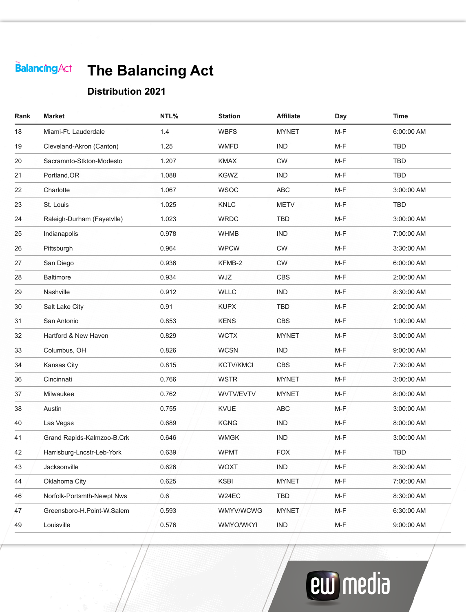# **The Balancing Act**

#### **Distribution 2021**

| Rank | <b>Market</b>              | NTL%  | <b>Station</b>   | <b>Affiliate</b> | Day   | <b>Time</b> |
|------|----------------------------|-------|------------------|------------------|-------|-------------|
| 18   | Miami-Ft. Lauderdale       | 1.4   | <b>WBFS</b>      | <b>MYNET</b>     | M-F   | 6:00:00 AM  |
| 19   | Cleveland-Akron (Canton)   | 1.25  | <b>WMFD</b>      | <b>IND</b>       | $M-F$ | <b>TBD</b>  |
| 20   | Sacramnto-Stkton-Modesto   | 1.207 | <b>KMAX</b>      | <b>CW</b>        | M-F   | <b>TBD</b>  |
| 21   | Portland, OR               | 1.088 | <b>KGWZ</b>      | <b>IND</b>       | $M-F$ | <b>TBD</b>  |
| 22   | Charlotte                  | 1.067 | <b>WSOC</b>      | <b>ABC</b>       | M-F   | 3:00:00 AM  |
| 23   | St. Louis                  | 1.025 | KNLC             | <b>METV</b>      | $M-F$ | <b>TBD</b>  |
| 24   | Raleigh-Durham (Fayetvlle) | 1.023 | <b>WRDC</b>      | <b>TBD</b>       | $M-F$ | 3:00:00 AM  |
| 25   | Indianapolis               | 0.978 | <b>WHMB</b>      | <b>IND</b>       | M-F   | 7:00:00 AM  |
| 26   | Pittsburgh                 | 0.964 | <b>WPCW</b>      | <b>CW</b>        | $M-F$ | 3:30:00 AM  |
| 27   | San Diego                  | 0.936 | KFMB-2           | <b>CW</b>        | $M-F$ | 6:00:00 AM  |
| 28   | <b>Baltimore</b>           | 0.934 | WJZ              | <b>CBS</b>       | M-F   | 2:00:00 AM  |
| 29   | Nashville                  | 0.912 | <b>WLLC</b>      | <b>IND</b>       | M-F   | 8:30:00 AM  |
| 30   | Salt Lake City             | 0.91  | <b>KUPX</b>      | <b>TBD</b>       | M-F   | 2:00:00 AM  |
| 31   | San Antonio                | 0.853 | <b>KENS</b>      | <b>CBS</b>       | $M-F$ | 1:00:00 AM  |
| 32   | Hartford & New Haven       | 0.829 | <b>WCTX</b>      | <b>MYNET</b>     | $M-F$ | 3:00:00 AM  |
| 33   | Columbus, OH               | 0.826 | <b>WCSN</b>      | <b>IND</b>       | M-F   | 9:00:00 AM  |
| 34   | Kansas City                | 0.815 | <b>KCTV/KMCI</b> | <b>CBS</b>       | $M-F$ | 7:30:00 AM  |
| 36   | Cincinnati                 | 0.766 | <b>WSTR</b>      | <b>MYNET</b>     | M-F   | 3:00:00 AM  |
| 37   | Milwaukee                  | 0.762 | WVTV/EVTV        | <b>MYNET</b>     | M-F   | 8:00:00 AM  |
| 38   | Austin                     | 0.755 | <b>KVUE</b>      | <b>ABC</b>       | $M-F$ | 3:00:00 AM  |
| 40   | Las Vegas                  | 0.689 | <b>KGNG</b>      | <b>IND</b>       | M-F   | 8:00:00 AM  |
| 41   | Grand Rapids-Kalmzoo-B.Crk | 0.646 | <b>WMGK</b>      | <b>IND</b>       | $M-F$ | 3:00:00 AM  |
| 42   | Harrisburg-Lncstr-Leb-York | 0.639 | <b>WPMT</b>      | <b>FOX</b>       | M-F   | <b>TBD</b>  |
| 43   | Jacksonville               | 0.626 | <b>WOXT</b>      | <b>IND</b>       | M-F   | 8:30:00 AM  |
| 44   | Oklahoma City              | 0.625 | <b>KSBI</b>      | <b>MYNET</b>     | M-F   | 7:00:00 AM  |
| 46   | Norfolk-Portsmth-Newpt Nws | 0.6   | W24EC            | <b>TBD</b>       | $M-F$ | 8:30:00 AM  |
| 47   | Greensboro-H.Point-W.Salem | 0.593 | <b>WMYV/WCWG</b> | <b>MYNET</b>     | M-F   | 6:30:00 AM  |
| 49   | Louisville                 | 0.576 | WMYO/WKYI        | <b>IND</b>       | M-F   | 9:00:00 AM  |
|      |                            |       |                  |                  |       |             |

# **ew** media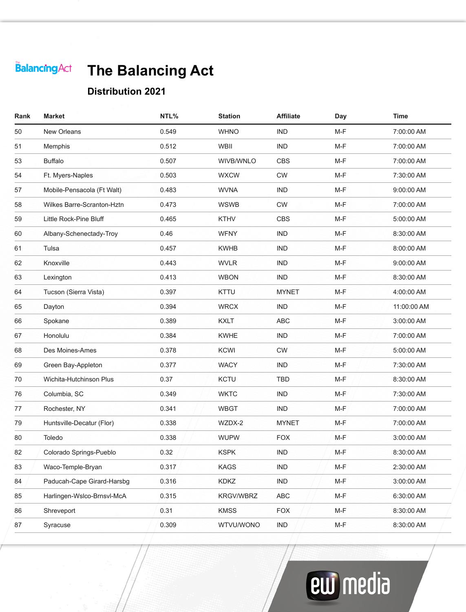# **The Balancing Act**

#### **Distribution 2021**

| Rank | <b>Market</b>              | NTL%  | <b>Station</b>   | <b>Affiliate</b> | Day   | <b>Time</b> |
|------|----------------------------|-------|------------------|------------------|-------|-------------|
| 50   | New Orleans                | 0.549 | <b>WHNO</b>      | <b>IND</b>       | M-F   | 7:00:00 AM  |
| 51   | Memphis                    | 0.512 | <b>WBII</b>      | <b>IND</b>       | $M-F$ | 7:00:00 AM  |
| 53   | <b>Buffalo</b>             | 0.507 | WIVB/WNLO        | <b>CBS</b>       | $M-F$ | 7:00:00 AM  |
| 54   | Ft. Myers-Naples           | 0.503 | <b>WXCW</b>      | <b>CW</b>        | M-F   | 7:30:00 AM  |
| 57   | Mobile-Pensacola (Ft Walt) | 0.483 | <b>WVNA</b>      | <b>IND</b>       | $M-F$ | 9:00:00 AM  |
| 58   | Wilkes Barre-Scranton-Hztn | 0.473 | <b>WSWB</b>      | <b>CW</b>        | $M-F$ | 7:00:00 AM  |
| 59   | Little Rock-Pine Bluff     | 0.465 | <b>KTHV</b>      | <b>CBS</b>       | M-F   | 5:00:00 AM  |
| 60   | Albany-Schenectady-Troy    | 0.46  | <b>WFNY</b>      | <b>IND</b>       | M-F   | 8:30:00 AM  |
| 61   | Tulsa                      | 0.457 | <b>KWHB</b>      | <b>IND</b>       | $M-F$ | 8:00:00 AM  |
| 62   | Knoxville                  | 0.443 | <b>WVLR</b>      | <b>IND</b>       | $M-F$ | 9:00:00 AM  |
| 63   | Lexington                  | 0.413 | <b>WBON</b>      | <b>IND</b>       | M-F   | 8:30:00 AM  |
| 64   | Tucson (Sierra Vista)      | 0.397 | <b>KTTU</b>      | <b>MYNET</b>     | M-F   | 4:00:00 AM  |
| 65   | Dayton                     | 0.394 | <b>WRCX</b>      | <b>IND</b>       | M-F   | 11:00:00 AM |
| 66   | Spokane                    | 0.389 | <b>KXLT</b>      | <b>ABC</b>       | M-F   | 3:00:00 AM  |
| 67   | Honolulu                   | 0.384 | <b>KWHE</b>      | <b>IND</b>       | $M-F$ | 7:00:00 AM  |
| 68   | Des Moines-Ames            | 0.378 | <b>KCWI</b>      | <b>CW</b>        | $M-F$ | 5:00:00 AM  |
| 69   | Green Bay-Appleton         | 0.377 | <b>WACY</b>      | <b>IND</b>       | M-F   | 7:30:00 AM  |
| 70   | Wichita-Hutchinson Plus    | 0.37  | <b>KCTU</b>      | <b>TBD</b>       | M-F   | 8:30:00 AM  |
| 76   | Columbia, SC               | 0.349 | <b>WKTC</b>      | <b>IND</b>       | $M-F$ | 7:30:00 AM  |
| 77   | Rochester, NY              | 0.341 | <b>WBGT</b>      | <b>IND</b>       | $M-F$ | 7:00:00 AM  |
| 79   | Huntsville-Decatur (Flor)  | 0.338 | WZDX-2           | <b>MYNET</b>     | M-F   | 7:00:00 AM  |
| 80   | Toledo                     | 0.338 | <b>WUPW</b>      | <b>FOX</b>       | M-F   | 3:00:00 AM  |
| 82   | Colorado Springs-Pueblo    | 0.32  | <b>KSPK</b>      | <b>IND</b>       | $M-F$ | 8:30:00 AM  |
| 83   | Waco-Temple-Bryan          | 0.317 | <b>KAGS</b>      | <b>IND</b>       | M-F   | 2:30:00 AM  |
| 84   | Paducah-Cape Girard-Harsbg | 0.316 | <b>KDKZ</b>      | <b>IND</b>       | M-F   | 3:00:00 AM  |
| 85   | Harlingen-Wslco-Brnsvl-McA | 0.315 | <b>KRGV/WBRZ</b> | <b>ABC</b>       | $M-F$ | 6:30:00 AM  |
| 86   | Shreveport                 | 0.31  | <b>KMSS</b>      | <b>FOX</b>       | M-F   | 8:30:00 AM  |
| 87   | Syracuse                   | 0.309 | WTVU/WONO        | <b>IND</b>       | M-F   | 8:30:00 AM  |
|      |                            |       |                  |                  |       |             |

# **ew** media